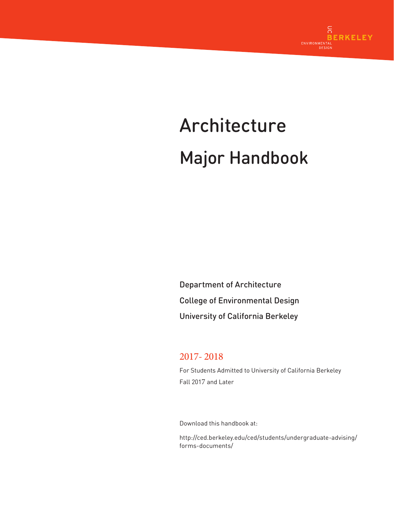

# Architecture Major Handbook

Department of Architecture College of Environmental Design University of California Berkeley

# 2017- 2018

For Students Admitted to University of California Berkeley Fall 2017 and Later

Download this handbook at:

http://ced.berkeley.edu/ced/students/undergraduate-advising/ forms-documents/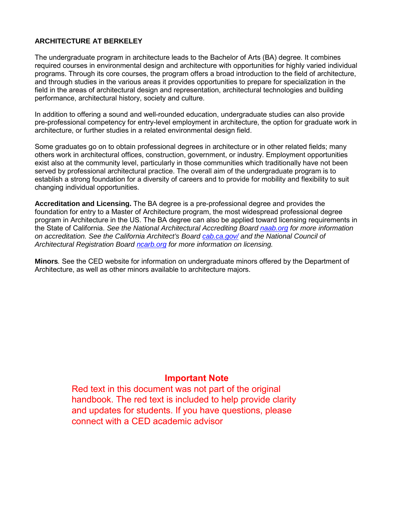## **ARCHITECTURE AT BERKELEY**

The undergraduate program in architecture leads to the Bachelor of Arts (BA) degree. It combines required courses in environmental design and architecture with opportunities for highly varied individual programs. Through its core courses, the program offers a broad introduction to the field of architecture, and through studies in the various areas it provides opportunities to prepare for specialization in the field in the areas of architectural design and representation, architectural technologies and building performance, architectural history, society and culture.

In addition to offering a sound and well-rounded education, undergraduate studies can also provide pre-professional competency for entry-level employment in architecture, the option for graduate work in architecture, or further studies in a related environmental design field.

Some graduates go on to obtain professional degrees in architecture or in other related fields; many others work in architectural offices, construction, government, or industry. Employment opportunities exist also at the community level, particularly in those communities which traditionally have not been served by professional architectural practice. The overall aim of the undergraduate program is to establish a strong foundation for a diversity of careers and to provide for mobility and flexibility to suit changing individual opportunities.

**Accreditation and Licensing.** The BA degree is a pre-professional degree and provides the foundation for entry to a Master of Architecture program, the most widespread professional degree program in Architecture in the US. The BA degree can also be applied toward licensing requirements in the State of California. *See the National Architectural Accrediting Board [naab.org](http://www.naab.org/) for more information on accreditation. See the California Architect's Board [cab.ca.gov/](file://CPLA/DEAN_SHARE/DEAN/UG_ADVISING/Forms,%20Handouts%20and%20Petitions%20for%20Web/FINAL%20FORMS%20TO%20UPLOAD/cab.ca.gov/) and the National Council of Architectural Registration Board [ncarb.org](http://ncarb.org/) for more information on licensing.*

**Minors***.* See the [CED](http://arch.ced.berkeley.edu/programs/undergraduate/minors) website for information on undergraduate minors offered by the Department of Architecture, as well as other minors available to architecture majors.

# **Important Note**

Red text in this document was not part of the original handbook. The red text is included to help provide clarity and updates for students. If you have questions, please connect with a CED academic advisor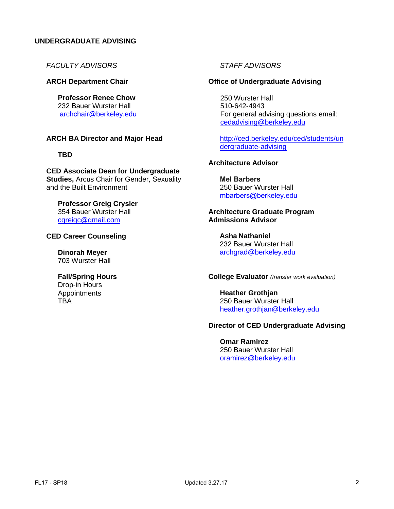#### **UNDERGRADUATE ADVISING**

*FACULTY ADVISORS*

#### **ARCH Department Chair**

**Professor Renee Chow**  232 Bauer Wurster Hall [archchair@berkeley.edu](file://CPLA/DEAN_SHARE/DEAN/UG_ADVISING/Forms,%20Handouts%20and%20Petitions%20for%20Web/Local%20Settings/Temporary%20Internet%20Files/Content.Outlook/NKKYGRQ2/kchriste@berkeley.edu)

#### **ARCH BA Director and Major Head**

#### **TBD**

#### **CED Associate Dean for Undergraduate Studies,** Arcus Chair for Gender, Sexuality

# **Professor Greig Crysler**  354 Bauer Wurster Hall

cgreigc@gmail.com

and the Built Environment

#### **CE[D Career Counseling](mailto:rychow@berkeley.edu)**

**Dinorah Meyer** 703 Wurster Hall

#### **Fall/Spring Hours**

Drop-in Hours Appointments **TRA** 

#### *STAFF ADVISORS*

#### **Office of Undergraduate Advising**

 250 Wurster Hall 510-642-4943 [For general advising questions email:](http://ced.berkeley.edu/ced/students/undergraduate-advising) [cedadvising@berkeley](http://ced.berkeley.edu/ced/students/undergraduate-advising).edu

http://ced.berkeley.edu/ced/students/un dergraduate-advising

#### **Architecture Advisor**

**Mel Barbers** 250 Bauer [Wurster](mailto:rhommel.canare@berkeley.edu) Hall mbarbers@berkeley.edu

#### **Architecture Graduate Program Admissions Advisor**

**Asha Nathaniel**  232 Bauer Wurster Hall archgrad@berkeley.edu

#### **College Evaluator** *(transfer work evaluation)*

**Heather Grothjan**  250 Bauer Wurster Hall heather.grothjan@berkeley.edu

#### **Director of CED Undergraduate Advising**

**Omar Ramirez**  250 Bauer Wurster Hall oramirez@berkeley.edu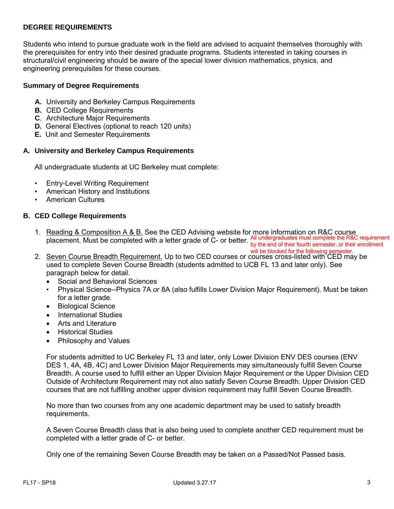#### **DEGREE REQUIREMENTS**

Students who intend to pursue graduate work in the field are advised to acquaint themselves thoroughly with the prerequisites for entry into their desired graduate programs. Students interested in taking courses in structural/civil engineering should be aware of the special lower division mathematics, physics, and engineering prerequisites for these courses.

#### **Summary of Degree Requirements**

- **A.** University and Berkeley Campus Requirements
- **B.** CED College Requirements
- **C**. Architecture Major Requirements
- **D.** General Electives (optional to reach 120 units)
- **E.** Unit and Semester Requirements

#### **A. University and Berkeley Campus Requirements**

All undergraduate students at UC Berkeley must complete:

- Entry-Level Writing Requirement
- American History and Institutions
- American Cultures

#### **B. CED College Requirements**

- 1. Reading & Composition A & B. See the CED Advising website for more information on R&C course placement. Must be completed with a letter grade of C- or better. All undergraduates must complete the R&C requirement by the end of their fourth semester, or their enrollment
- will be blocked for the following semester.<br>2. <u>Seven Course Breadth Requirement.</u> Up to two CED courses or courses cross-listed with CED may be used to complete Seven Course Breadth (students admitted to UCB FL 13 and later only). See paragraph below for detail.
	- Social and Behavioral Sciences
	- Physical Science--Physics 7A *or* 8A (also fulfills Lower Division Major Requirement). Must be taken for a letter grade.
	- Biological Science
	- International Studies
	- Arts and Literature
	- Historical Studies
	- Philosophy and Values

For students admitted to UC Berkeley FL 13 and later, only Lower Division ENV DES courses (ENV DES 1, 4A, 4B, 4C) and Lower Division Major Requirements may simultaneously fulfill Seven Course Breadth. A course used to fulfill either an Upper Division Major Requirement or the Upper Division CED Outside of Architecture Requirement may not also satisfy Seven Course Breadth. Upper Division CED courses that are not fulfilling another upper division requirement may fulfill Seven Course Breadth.

No more than two courses from any one academic department may be used to satisfy breadth requirements.

A Seven Course Breadth class that is also being used to complete another CED requirement must be completed with a letter grade of C- or better.

Only one of the remaining Seven Course Breadth may be taken on a Passed/Not Passed basis.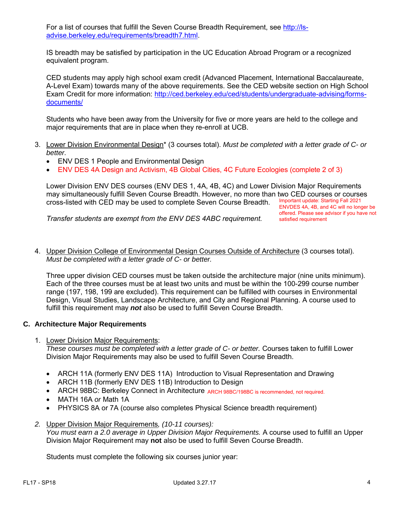For a list of courses that fulfill the Seven Course Breadth Requirement, see [http://ls](http://ls-advise.berkeley.edu/requirements/breadth7.html)[advise.berkeley.edu/requirements/breadth7.html.](http://ls-advise.berkeley.edu/requirements/breadth7.html)

IS breadth may be satisfied by participation in the UC Education Abroad Program or a recognized equivalent program.

CED students may apply high school exam credit (Advanced Placement, International Baccalaureate, A-Level Exam) towards many of the above requirements. See the CED website section on High School Exam Credit for more information: [http://ced.berkeley.edu/ced/students/undergraduate-advising/forms](http://ced.berkeley.edu/ced/students/undergraduate-advising/forms-documents/)[documents/](http://ced.berkeley.edu/ced/students/undergraduate-advising/forms-documents/)

Students who have been away from the University for five or more years are held to the college and major requirements that are in place when they re-enroll at UCB.

- 3. Lower Division Environmental Design\* (3 courses total). *Must be completed with a letter grade of C- or better.*
	- ENV DES 1 People and Environmental Design
	- ENV DES 4A Design and Activism, 4B Global Cities, 4C Future Ecologies (complete 2 of 3)

Lower Division ENV DES courses (ENV DES 1, 4A, 4B, 4C) and Lower Division Major Requirements may simultaneously fulfill Seven Course Breadth. However, no more than two CED courses or courses cross-listed with CED may be used to complete Seven Course Breadth. Important update: Starting Fall 2021 ENVDES 4A, 4B, and 4C will no longer be

*Transfer students are exempt from the ENV DES 4ABC requirement.* 

offered. Please see advisor if you have not satisfied requirement

4. Upper Division College of Environmental Design Courses Outside of Architecture (3 courses total). *Must be completed with a letter grade of C- or better.*

Three upper division CED courses must be taken outside the architecture major (nine units minimum). Each of the three courses must be at least two units and must be within the 100-299 course number range (197, 198, 199 are excluded). This requirement can be fulfilled with courses in Environmental Design, Visual Studies, Landscape Architecture, and City and Regional Planning. A course used to fulfill this requirement may *not* also be used to fulfill Seven Course Breadth.

#### **C. Architecture Major Requirements**

1. Lower Division Major Requirements:

*These courses must be completed with a letter grade of C- or better.* Courses taken to fulfill Lower Division Major Requirements may also be used to fulfill Seven Course Breadth.

- ARCH 11A (formerly ENV DES 11A) Introduction to Visual Representation and Drawing
- ARCH 11B (formerly ENV DES 11B) Introduction to Design
- ARCH 98BC: Berkeley Connect in Architecture ARCH 98BC/198BC is recommended, not required.
- MATH 16A *or* Math 1A
- PHYSICS 8A or 7A (course also completes Physical Science breadth requirement)
- *2.* Upper Division Major Requirements*, (10-11 courses):*

*You must earn a 2.0 average in Upper Division Major Requirements.* A course used to fulfill an Upper Division Major Requirement may **not** also be used to fulfill Seven Course Breadth.

Students must complete the following six courses junior year: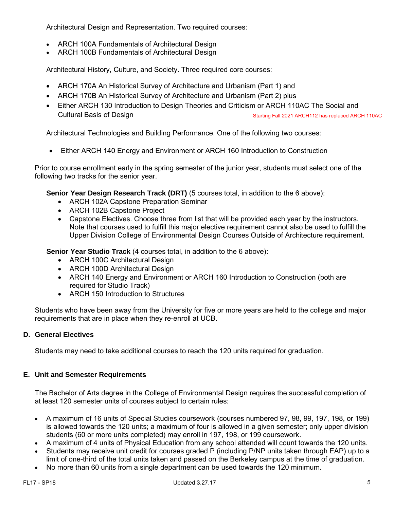Architectural Design and Representation. Two required courses:

- ARCH 100A Fundamentals of Architectural Design
- ARCH 100B Fundamentals of Architectural Design

Architectural History, Culture, and Society. Three required core courses:

- ARCH 170A An Historical Survey of Architecture and Urbanism (Part 1) and
- ARCH 170B An Historical Survey of Architecture and Urbanism (Part 2) plus
- Either ARCH 130 Introduction to Design Theories and Criticism or ARCH 110AC The Social and Cultural Basis of Design Starting Fall 2021 ARCH112 has replaced ARCH 110AC

Architectural Technologies and Building Performance. One of the following two courses:

• Either ARCH 140 Energy and Environment or ARCH 160 Introduction to Construction

Prior to course enrollment early in the spring semester of the junior year, students must select one of the following two tracks for the senior year.

**Senior Year Design Research Track (DRT)** (5 courses total, in addition to the 6 above):

- ARCH 102A Capstone Preparation Seminar
- ARCH 102B Capstone Project
- Capstone Electives. Choose three from list that will be provided each year by the instructors. Note that courses used to fulfill this major elective requirement cannot also be used to fulfill the Upper Division College of Environmental Design Courses Outside of Architecture requirement.

**Senior Year Studio Track** (4 courses total, in addition to the 6 above):

- ARCH 100C Architectural Design
- ARCH 100D Architectural Design
- ARCH 140 Energy and Environment or ARCH 160 Introduction to Construction (both are required for Studio Track)
- ARCH 150 Introduction to Structures

Students who have been away from the University for five or more years are held to the college and major requirements that are in place when they re-enroll at UCB.

#### **D. General Electives**

Students may need to take additional courses to reach the 120 units required for graduation.

#### **E. Unit and Semester Requirements**

The Bachelor of Arts degree in the College of Environmental Design requires the successful completion of at least 120 semester units of courses subject to certain rules:

- A maximum of 16 units of Special Studies coursework (courses numbered 97, 98, 99, 197, 198, or 199) is allowed towards the 120 units; a maximum of four is allowed in a given semester; only upper division students (60 or more units completed) may enroll in 197, 198, or 199 coursework.
- A maximum of 4 units of Physical Education from any school attended will count towards the 120 units.
- Students may receive unit credit for courses graded P (including P/NP units taken through EAP) up to a limit of one-third of the total units taken and passed on the Berkeley campus at the time of graduation.
- No more than 60 units from a single department can be used towards the 120 minimum.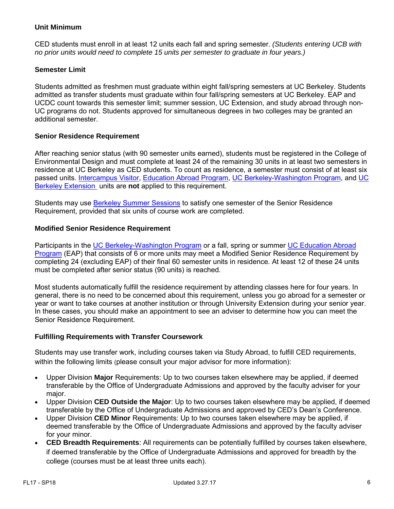#### **Unit Minimum**

CED students must enroll in at least 12 units each fall and spring semester. *(Students entering UCB with no prior units would need to complete 15 units per semester to graduate in four years.)*

#### **Semester Limit**

Students admitted as freshmen must graduate within eight fall/spring semesters at UC Berkeley. Students admitted as transfer students must graduate within four fall/spring semesters at UC Berkeley. EAP and UCDC count towards this semester limit; summer session, UC Extension, and study abroad through non-UC programs do not. Students approved for simultaneous degrees in two colleges may be granted an additional semester.

#### **Senior Residence Requirement**

After reaching senior status (with 90 semester units earned), students must be registered in the College of Environmental Design and must complete at least 24 of the remaining 30 units in at least two semesters in residence at UC Berkeley as CED students. To count as residence, a semester must consist of at least six passed units. [Intercampus Visitor,](http://ls-advise.berkeley.edu/faq/icv.html) [Education Abroad Program,](http://ls-advise.berkeley.edu/faq/eap.html) [UC Berkeley-Washington Program,](http://ucdc.berkeley.edu/) and [UC](http://extension.berkeley.edu/)  [Berkeley Extension](http://extension.berkeley.edu/) units are **not** applied to this requirement.

Students may use [Berkeley Summer Sessions](http://summer.berkeley.edu/mainsite/index.lasso) to satisfy one semester of the Senior Residence Requirement, provided that six units of course work are completed.

#### **Modified Senior Residence Requirement**

Participants in the [UC Berkeley-Washington Program](http://learning.berkeley.edu/ucdc/) or a fall, spring or summer [UC Education Abroad](http://ls-advise.berkeley.edu/faq/eap.html)  [Program](http://ls-advise.berkeley.edu/faq/eap.html) (EAP) that consists of 6 or more units may meet a Modified Senior Residence Requirement by completing 24 (excluding EAP) of their final 60 semester units in residence. At least 12 of these 24 units must be completed after senior status (90 units) is reached.

Most students automatically fulfill the residence requirement by attending classes here for four years. In general, there is no need to be concerned about this requirement, unless you go abroad for a semester or year or want to take courses at another institution or through University Extension during your senior year. In these cases, you should make an appointment to see an adviser to determine how you can meet the Senior Residence Requirement.

#### **Fulfilling Requirements with Transfer Coursework**

Students may use transfer work, including courses taken via Study Abroad, to fulfill CED requirements, within the following limits (please consult your major advisor for more information):

- Upper Division **Major** Requirements: Up to two courses taken elsewhere may be applied, if deemed transferable by the Office of Undergraduate Admissions and approved by the faculty adviser for your major.
- Upper Division **CED Outside the Major**: Up to two courses taken elsewhere may be applied, if deemed transferable by the Office of Undergraduate Admissions and approved by CED's Dean's Conference.
- Upper Division **CED Minor** Requirements: Up to two courses taken elsewhere may be applied, if deemed transferable by the Office of Undergraduate Admissions and approved by the faculty adviser for your minor.
- **CED Breadth Requirements**: All requirements can be potentially fulfilled by courses taken elsewhere, if deemed transferable by the Office of Undergraduate Admissions and approved for breadth by the college (courses must be at least three units each).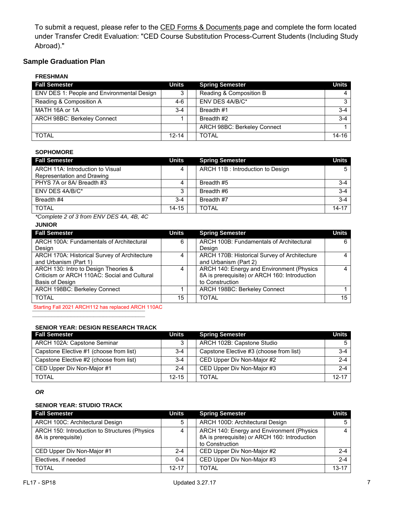To submit a request, please refer to the [CED Forms & Documents](http://ced.berkeley.edu/ced/students/undergraduate-advising/forms-documents/) page and complete the form located under Transfer Credit Evaluation: "CED Course Substitution Process-Current Students (Including Study Abroad)."

# **Sample Graduation Plan**

| <b>FRESHMAN</b>                            |           |                             |              |
|--------------------------------------------|-----------|-----------------------------|--------------|
| <b>Fall Semester</b>                       | Units     | <b>Spring Semester</b>      | <b>Units</b> |
| ENV DES 1: People and Environmental Design |           | Reading & Composition B     | 4            |
| Reading & Composition A                    | 4-6       | ENV DES 4A/B/C*             | 3            |
| MATH 16A or 1A                             | $3-4$     | Breadth #1                  | $3 - 4$      |
| ARCH 98BC: Berkeley Connect                |           | Breadth #2                  | $3 - 4$      |
|                                            |           | ARCH 98BC: Berkeley Connect |              |
| <b>TOTAL</b>                               | $12 - 14$ | <b>TOTAL</b>                | $14 - 16$    |

#### **SOPHOMORE**

| <b>Fall Semester</b>             | Units     | <b>Spring Semester</b>           | Units     |
|----------------------------------|-----------|----------------------------------|-----------|
| ARCH 11A: Introduction to Visual |           | ARCH 11B: Introduction to Design |           |
| Representation and Drawing       |           |                                  |           |
| PHYS 7A or 8A/ Breadth #3        |           | Breadth #5                       | $3 - 4$   |
| ENV DES 4A/B/C*                  |           | Breadth #6                       | $3 - 4$   |
| Breadth #4                       | $3-4$     | Breadth #7                       | $3 - 4$   |
| <b>TOTAL</b>                     | $14 - 15$ | <b>TOTAL</b>                     | $14 - 17$ |

*\*Complete 2 of 3 from ENV DES 4A, 4B, 4C*

#### **JUNIOR**

| <b>Fall Semester</b>                         | Units | <b>Spring Semester</b>                        | Units |
|----------------------------------------------|-------|-----------------------------------------------|-------|
| ARCH 100A: Fundamentals of Architectural     | 6     | ARCH 100B: Fundamentals of Architectural      | 6     |
| Design                                       |       | Desian                                        |       |
| ARCH 170A: Historical Survey of Architecture |       | ARCH 170B: Historical Survey of Architecture  |       |
| and Urbanism (Part 1)                        |       | and Urbanism (Part 2)                         |       |
| ARCH 130: Intro to Design Theories &         |       | ARCH 140: Energy and Environment (Physics     |       |
| Criticism or ARCH 110AC: Social and Cultural |       | 8A is prerequisite) or ARCH 160: Introduction |       |
| Basis of Design                              |       | to Construction                               |       |
| ARCH 198BC: Berkeley Connect                 |       | ARCH 198BC: Berkeley Connect                  |       |
| <b>TOTAL</b>                                 | 15    | <b>TOTAL</b>                                  | 15    |

Starting Fall 2021 ARCH 112 has replaced ARCH 110AC

#### **SENIOR YEAR: DESIGN RESEARCH TRACK**

**\_\_\_\_\_\_\_\_\_\_\_\_\_\_\_\_\_\_\_\_\_\_\_\_\_\_\_\_\_\_\_\_\_\_\_**

| <b>Fall Semester</b>                    | Units     | <b>Spring Semester</b>                  | Units     |
|-----------------------------------------|-----------|-----------------------------------------|-----------|
| ARCH 102A: Capstone Seminar             | 2         | ARCH 102B: Capstone Studio              | 5 I       |
| Capstone Elective #1 (choose from list) | $3 - 4$   | Capstone Elective #3 (choose from list) | $3-4$     |
| Capstone Elective #2 (choose from list) | $3-4$     | CED Upper Div Non-Major #2              | $2 - 4$   |
| CED Upper Div Non-Major #1              | $2 - 4$   | CED Upper Div Non-Major #3              | $2 - 4$   |
| TOTAL                                   | $12 - 15$ | <b>TOTAL</b>                            | $12 - 17$ |

#### *OR*

#### **SENIOR YEAR: STUDIO TRACK**

| <b>Fall Semester</b>                                                 | Units     | <b>Spring Semester</b>                                                                                        | Units          |
|----------------------------------------------------------------------|-----------|---------------------------------------------------------------------------------------------------------------|----------------|
| ARCH 100C: Architectural Design                                      | 5         | ARCH 100D: Architectural Design                                                                               | 5              |
| ARCH 150: Introduction to Structures (Physics<br>8A is prerequisite) |           | ARCH 140: Energy and Environment (Physics<br>8A is prerequisite) or ARCH 160: Introduction<br>to Construction | $\overline{4}$ |
| CED Upper Div Non-Major #1                                           | $2 - 4$   | CED Upper Div Non-Major #2                                                                                    | $2 - 4$        |
| Electives, if needed                                                 | $0 - 4$   | CED Upper Div Non-Major #3                                                                                    | $2 - 4$        |
| TOTAL                                                                | $12 - 17$ | <b>TOTAL</b>                                                                                                  | $13 - 17$      |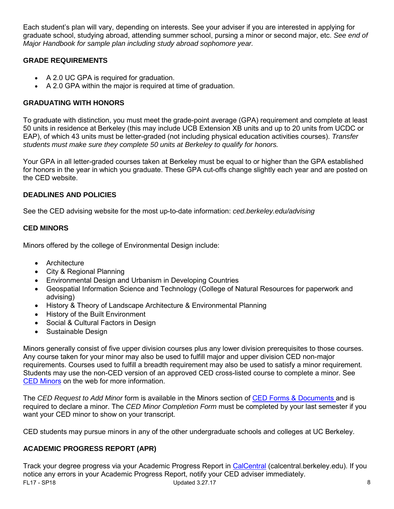Each student's plan will vary, depending on interests. See your adviser if you are interested in applying for graduate school, studying abroad, attending summer school, pursing a minor or second major, etc. *See end of Major Handbook for sample plan including study abroad sophomore year.*

# **GRADE REQUIREMENTS**

- A 2.0 UC GPA is required for graduation.
- A 2.0 GPA within the major is required at time of graduation.

# **GRADUATING WITH HONORS**

To graduate with distinction, you must meet the grade-point average (GPA) requirement and complete at least 50 units in residence at Berkeley (this may include UCB Extension XB units and up to 20 units from UCDC or EAP), of which 43 units must be letter-graded (not including physical education activities courses). *Transfer students must make sure they complete 50 units at Berkeley to qualify for honors.*

Your GPA in all letter-graded courses taken at Berkeley must be equal to or higher than the GPA established for honors in the year in which you graduate. These GPA cut-offs change slightly each year and are posted on the CED website.

# **DEADLINES AND POLICIES**

See the CED advising website for the most up-to-date information: *ced.berkeley.edu/advising*

# **CED MINORS**

Minors offered by the college of Environmental Design include:

- [Architecture](http://arch.ced.berkeley.edu/programs/undergraduate/minors/arch)
- [City & Regional Planning](http://dcrp.ced.berkeley.edu/programs/undergraduate/minor_cityplanning)
- [Environmental Design and Urbanism in Developing Countries](http://arch.ced.berkeley.edu/programs/undergraduate/minors/envdesigndevcountries)
- [Geospatial Information Science and Technology](http://gis.berkeley.edu/students/minor) (College of Natural Resources for paperwork and advising)
- [History & Theory of Landscape Architecture & Environmental Planning](http://laep.ced.berkeley.edu/programs/undergraduate/minors/historytheorylaep)
- [History of the Built Environment](http://arch.ced.berkeley.edu/programs/undergraduate/minors/historybuiltenv)
- [Social & Cultural Factors in Design](http://arch.ced.berkeley.edu/programs/undergraduate/minors/socialcultfactors)
- [Sustainable Design](http://laep.ced.berkeley.edu/programs/undergraduate/minors/sustainabledesign)

Minors generally consist of five upper division courses plus any lower division prerequisites to those courses. Any course taken for your minor may also be used to fulfill major and upper division CED non-major requirements. Courses used to fulfill a breadth requirement may also be used to satisfy a minor requirement. Students may use the non-CED version of an approved CED cross-listed course to complete a minor. See [CED Minors](http://www.ced.berkeley.edu/advising/continuingstudents/degreereqs#minor) on the web for more information.

The *CED Request to Add Minor* form is available in the Minors section of [CED Forms & Documents](http://ced.berkeley.edu/ced/students/undergraduate-advising/forms-documents/) and is required to declare a minor. The *CED Minor Completion Form* must be completed by your last semester if you want your CED minor to show on your transcript.

CED students may pursue minors in any of the other undergraduate schools and colleges at UC Berkeley.

# **ACADEMIC PROGRESS REPORT (APR)**

FL17 - SP18 Updated 3.27.17 8 Track your degree progress via your Academic Progress Report in CalCentral (calcentral.berkeley.edu). If you notice any errors in your Academic Progress Report, notify your CED adviser immediately.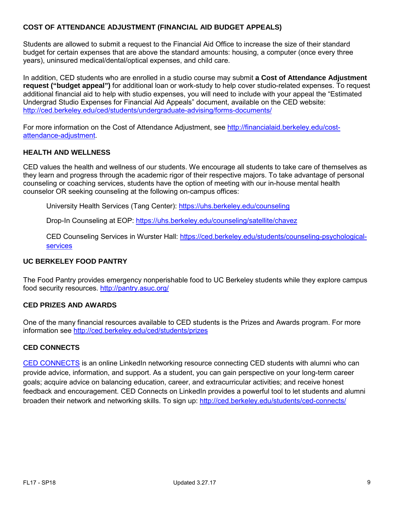## **COST OF ATTENDANCE ADJUSTMENT (FINANCIAL AID BUDGET APPEALS)**

Students are allowed to submit a request to the Financial Aid Office to increase the size of their standard budget for certain expenses that are above the standard amounts: housing, a computer (once every three years), uninsured medical/dental/optical expenses, and child care.

In addition, CED students who are enrolled in a studio course may submit **a Cost of Attendance Adjustment request ("budget appeal")** for additional loan or work-study to help cover studio-related expenses. To request additional financial aid to help with studio expenses, you will need to include with your appeal the "Estimated Undergrad Studio Expenses for Financial Aid Appeals" document, available on the CED website: <http://ced.berkeley.edu/ced/students/undergraduate-advising/forms-documents/>

For more information on the Cost of Attendance Adjustment, see [http://financialaid.berkeley.edu/cost](http://financialaid.berkeley.edu/cost-attendance-adjustment)[attendance-adjustment.](http://financialaid.berkeley.edu/cost-attendance-adjustment)

#### **HEALTH AND WELLNESS**

CED values the health and wellness of our students. We encourage all students to take care of themselves as they learn and progress through the academic rigor of their respective majors. To take advantage of personal counseling or coaching services, students have the option of meeting with our in-house mental health counselor OR seeking counseling at the following on-campus offices:

University Health Services (Tang Center):<https://uhs.berkeley.edu/counseling>

Drop-In Counseling at EOP:<https://uhs.berkeley.edu/counseling/satellite/chavez>

CED Counseling Services in Wurster Hall: [https://ced.berkeley.edu/students/counseling-psychological](https://ced.berkeley.edu/students/counseling-psychological-services)[services](https://ced.berkeley.edu/students/counseling-psychological-services) 

## **UC BERKELEY FOOD PANTRY**

The Food Pantry provides emergency nonperishable food to UC Berkeley students while they explore campus food security resources.<http://pantry.asuc.org/>

#### **CED PRIZES AND AWARDS**

One of the many financial resources available to CED students is the Prizes and Awards program. For more information see<http://ced.berkeley.edu/ced/students/prizes>

#### **CED CONNECTS**

[CED CONNECTS](http://ced.berkeley.edu/students/ced-connects/) is an online LinkedIn networking resource connecting CED students with alumni who can provide advice, information, and support. As a student, you can gain perspective on your long-term career goals; acquire advice on balancing education, career, and extracurricular activities; and receive honest feedback and encouragement. CED Connects on LinkedIn provides a powerful tool to let students and alumni broaden their network and networking skills. To sign up: <http://ced.berkeley.edu/students/ced-connects/>